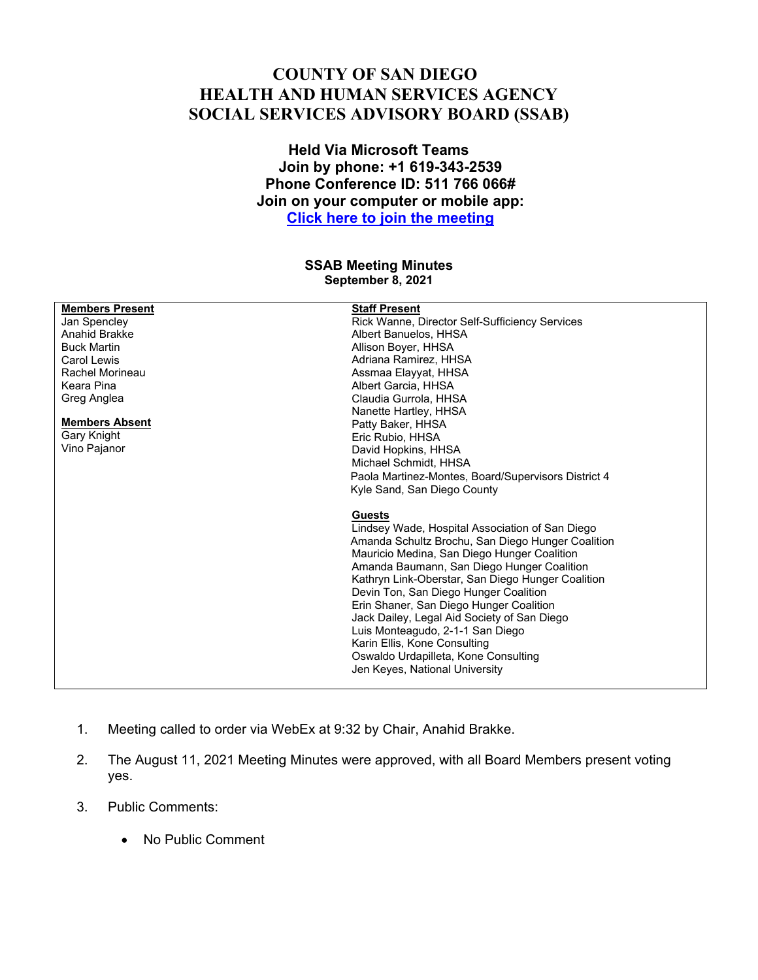## **COUNTY OF SAN DIEGO HEALTH AND HUMAN SERVICES AGENCY SOCIAL SERVICES ADVISORY BOARD (SSAB)**

**Held Via Microsoft Teams Join by phone: +1 619-343-2539 Phone Conference ID: 511 766 066# Join on your computer or mobile app: Click here to join the meeting**

## **SSAB Meeting Minutes September 8, 2021**

| <b>Members Present</b> | <b>Staff Present</b>                                |
|------------------------|-----------------------------------------------------|
| Jan Spencley           | Rick Wanne, Director Self-Sufficiency Services      |
| Anahid Brakke          | Albert Banuelos, HHSA                               |
| <b>Buck Martin</b>     | Allison Boyer, HHSA                                 |
| Carol Lewis            | Adriana Ramirez, HHSA                               |
| Rachel Morineau        | Assmaa Elayyat, HHSA                                |
| Keara Pina             | Albert Garcia, HHSA                                 |
| Greg Anglea            | Claudia Gurrola, HHSA                               |
|                        | Nanette Hartley, HHSA                               |
| <b>Members Absent</b>  | Patty Baker, HHSA                                   |
| Gary Knight            | Eric Rubio, HHSA                                    |
| Vino Pajanor           | David Hopkins, HHSA                                 |
|                        | Michael Schmidt, HHSA                               |
|                        | Paola Martinez-Montes, Board/Supervisors District 4 |
|                        | Kyle Sand, San Diego County                         |
|                        |                                                     |
|                        | <b>Guests</b>                                       |
|                        | Lindsey Wade, Hospital Association of San Diego     |
|                        | Amanda Schultz Brochu, San Diego Hunger Coalition   |
|                        | Mauricio Medina, San Diego Hunger Coalition         |
|                        | Amanda Baumann, San Diego Hunger Coalition          |
|                        | Kathryn Link-Oberstar, San Diego Hunger Coalition   |
|                        | Devin Ton, San Diego Hunger Coalition               |
|                        | Erin Shaner, San Diego Hunger Coalition             |
|                        | Jack Dailey, Legal Aid Society of San Diego         |
|                        | Luis Monteagudo, 2-1-1 San Diego                    |
|                        | Karin Ellis, Kone Consulting                        |
|                        | Oswaldo Urdapilleta, Kone Consulting                |
|                        | Jen Keyes, National University                      |
|                        |                                                     |

- 1. Meeting called to order via WebEx at 9:32 by Chair, Anahid Brakke.
- 2. The August 11, 2021 Meeting Minutes were approved, with all Board Members present voting yes.
- 3. Public Comments:
	- No Public Comment